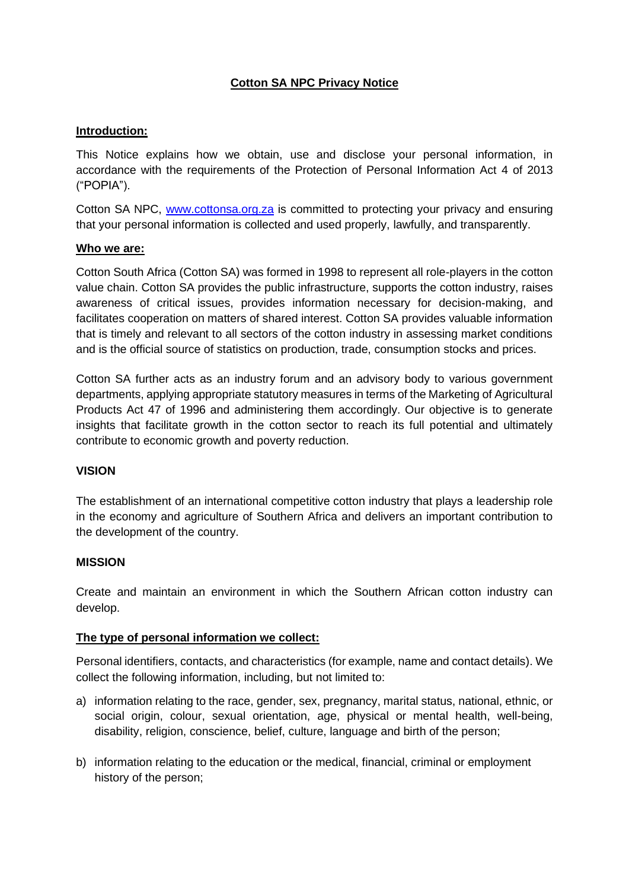# **Cotton SA NPC Privacy Notice**

### **Introduction:**

This Notice explains how we obtain, use and disclose your personal information, in accordance with the requirements of the Protection of Personal Information Act 4 of 2013 ("POPIA").

Cotton SA NPC, [www.cottonsa.org.za](http://www.cottonsa.org.za/) is committed to protecting your privacy and ensuring that your personal information is collected and used properly, lawfully, and transparently.

#### **Who we are:**

Cotton South Africa (Cotton SA) was formed in 1998 to represent all role-players in the cotton value chain. Cotton SA provides the public infrastructure, supports the cotton industry, raises awareness of critical issues, provides information necessary for decision-making, and facilitates cooperation on matters of shared interest. Cotton SA provides valuable information that is timely and relevant to all sectors of the cotton industry in assessing market conditions and is the official source of statistics on production, trade, consumption stocks and prices.

Cotton SA further acts as an industry forum and an advisory body to various government departments, applying appropriate statutory measures in terms of the Marketing of Agricultural Products Act 47 of 1996 and administering them accordingly. Our objective is to generate insights that facilitate growth in the cotton sector to reach its full potential and ultimately contribute to economic growth and poverty reduction.

#### **VISION**

The establishment of an international competitive cotton industry that plays a leadership role in the economy and agriculture of Southern Africa and delivers an important contribution to the development of the country.

#### **MISSION**

Create and maintain an environment in which the Southern African cotton industry can develop.

#### **The type of personal information we collect:**

Personal identifiers, contacts, and characteristics (for example, name and contact details). We collect the following information, including, but not limited to:

- a) information relating to the race, gender, sex, pregnancy, marital status, national, ethnic, or social origin, colour, sexual orientation, age, physical or mental health, well-being, disability, religion, conscience, belief, culture, language and birth of the person;
- b) information relating to the education or the medical, financial, criminal or employment history of the person;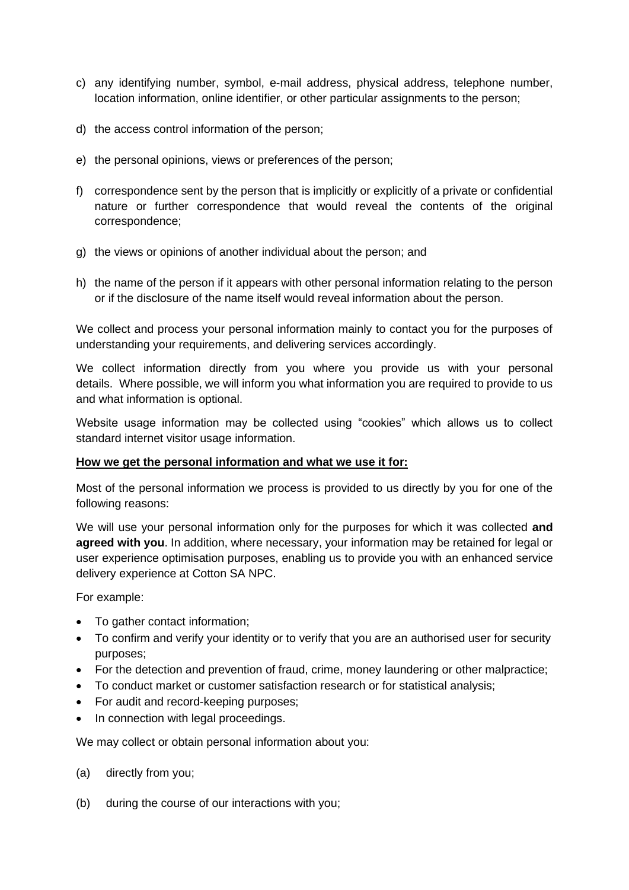- c) any identifying number, symbol, e-mail address, physical address, telephone number, location information, online identifier, or other particular assignments to the person;
- d) the access control information of the person;
- e) the personal opinions, views or preferences of the person;
- f) correspondence sent by the person that is implicitly or explicitly of a private or confidential nature or further correspondence that would reveal the contents of the original correspondence;
- g) the views or opinions of another individual about the person; and
- h) the name of the person if it appears with other personal information relating to the person or if the disclosure of the name itself would reveal information about the person.

We collect and process your personal information mainly to contact you for the purposes of understanding your requirements, and delivering services accordingly.

We collect information directly from you where you provide us with your personal details. Where possible, we will inform you what information you are required to provide to us and what information is optional.

Website usage information may be collected using "cookies" which allows us to collect standard internet visitor usage information.

#### **How we get the personal information and what we use it for:**

Most of the personal information we process is provided to us directly by you for one of the following reasons:

We will use your personal information only for the purposes for which it was collected **and agreed with you**. In addition, where necessary, your information may be retained for legal or user experience optimisation purposes, enabling us to provide you with an enhanced service delivery experience at Cotton SA NPC.

For example:

- To gather contact information;
- To confirm and verify your identity or to verify that you are an authorised user for security purposes;
- For the detection and prevention of fraud, crime, money laundering or other malpractice;
- To conduct market or customer satisfaction research or for statistical analysis;
- For audit and record-keeping purposes;
- In connection with legal proceedings.

We may collect or obtain personal information about you:

- (a) directly from you;
- (b) during the course of our interactions with you;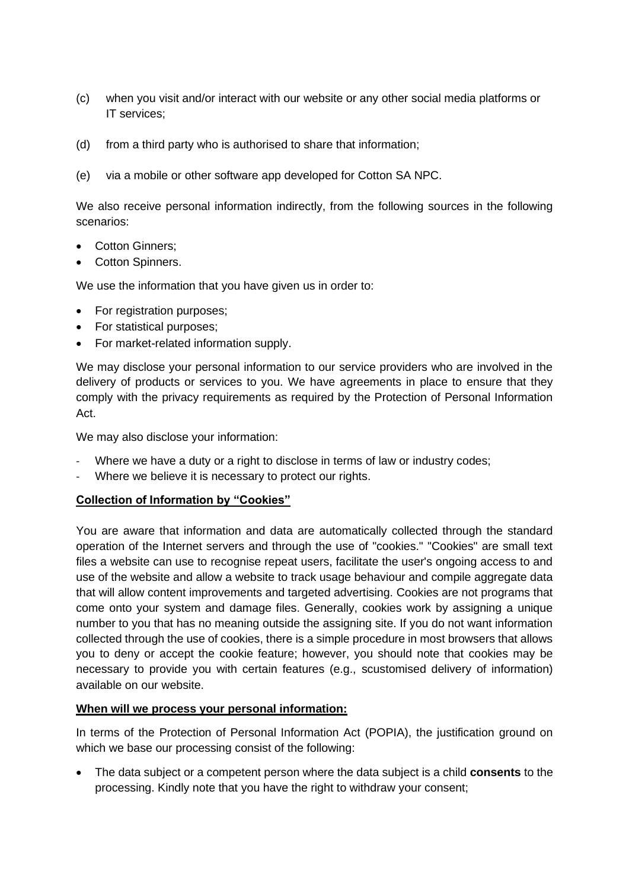- (c) when you visit and/or interact with our website or any other social media platforms or IT services;
- (d) from a third party who is authorised to share that information;
- (e) via a mobile or other software app developed for Cotton SA NPC.

We also receive personal information indirectly, from the following sources in the following scenarios:

- Cotton Ginners:
- Cotton Spinners.

We use the information that you have given us in order to:

- For registration purposes;
- For statistical purposes;
- For market-related information supply.

We may disclose your personal information to our service providers who are involved in the delivery of products or services to you. We have agreements in place to ensure that they comply with the privacy requirements as required by the Protection of Personal Information Act.

We may also disclose your information:

- Where we have a duty or a right to disclose in terms of law or industry codes;
- Where we believe it is necessary to protect our rights.

#### **Collection of Information by "Cookies"**

You are aware that information and data are automatically collected through the standard operation of the Internet servers and through the use of "cookies." "Cookies" are small text files a website can use to recognise repeat users, facilitate the user's ongoing access to and use of the website and allow a website to track usage behaviour and compile aggregate data that will allow content improvements and targeted advertising. Cookies are not programs that come onto your system and damage files. Generally, cookies work by assigning a unique number to you that has no meaning outside the assigning site. If you do not want information collected through the use of cookies, there is a simple procedure in most browsers that allows you to deny or accept the cookie feature; however, you should note that cookies may be necessary to provide you with certain features (e.g., scustomised delivery of information) available on our website.

#### **When will we process your personal information:**

In terms of the Protection of Personal Information Act (POPIA), the justification ground on which we base our processing consist of the following:

• The data subject or a competent person where the data subject is a child **consents** to the processing. Kindly note that you have the right to withdraw your consent;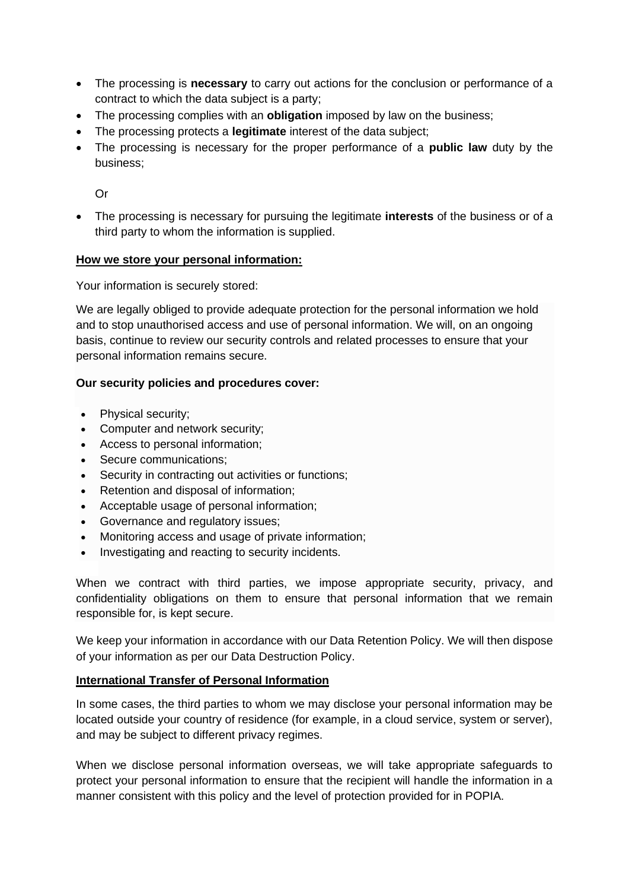- The processing is **necessary** to carry out actions for the conclusion or performance of a contract to which the data subject is a party;
- The processing complies with an **obligation** imposed by law on the business;
- The processing protects a **legitimate** interest of the data subject;
- The processing is necessary for the proper performance of a **public law** duty by the business;

Or

• The processing is necessary for pursuing the legitimate **interests** of the business or of a third party to whom the information is supplied.

#### **How we store your personal information:**

Your information is securely stored:

We are legally obliged to provide adequate protection for the personal information we hold and to stop unauthorised access and use of personal information. We will, on an ongoing basis, continue to review our security controls and related processes to ensure that your personal information remains secure.

#### **Our security policies and procedures cover:**

- Physical security;
- Computer and network security;
- Access to personal information;
- Secure communications:
- Security in contracting out activities or functions;
- Retention and disposal of information;
- Acceptable usage of personal information;
- Governance and regulatory issues;
- Monitoring access and usage of private information;
- Investigating and reacting to security incidents.

When we contract with third parties, we impose appropriate security, privacy, and confidentiality obligations on them to ensure that personal information that we remain responsible for, is kept secure.

We keep your information in accordance with our Data Retention Policy. We will then dispose of your information as per our Data Destruction Policy.

#### **International Transfer of Personal Information**

In some cases, the third parties to whom we may disclose your personal information may be located outside your country of residence (for example, in a cloud service, system or server), and may be subject to different privacy regimes.

When we disclose personal information overseas, we will take appropriate safeguards to protect your personal information to ensure that the recipient will handle the information in a manner consistent with this policy and the level of protection provided for in POPIA.